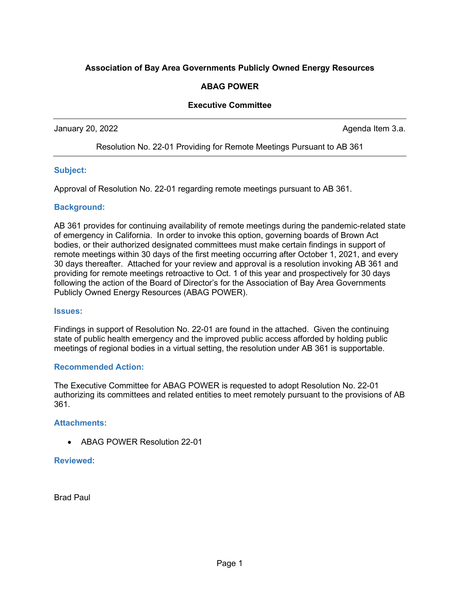# **Association of Bay Area Governments Publicly Owned Energy Resources**

## **ABAG POWER**

## **Executive Committee**

January 20, 2022 **Agents** 20, 2022 **Agents** 2.5 **Agents** 2.6 **Agents** 2.6 **Agents** 2.6 **Agents** 2.6 **Agents** 2.6 **Agents** 2.6 **Agents** 2.6 **Agents** 2.6 **Agents** 2.6 **Agents** 2.6 **Agents** 2.6 **Agents** 2.6 **Agents** 2.6 **Agen** 

Resolution No. 22-01 Providing for Remote Meetings Pursuant to AB 361

### **Subject:**

Approval of Resolution No. 22-01 regarding remote meetings pursuant to AB 361.

#### **Background:**

AB 361 provides for continuing availability of remote meetings during the pandemic-related state of emergency in California. In order to invoke this option, governing boards of Brown Act bodies, or their authorized designated committees must make certain findings in support of remote meetings within 30 days of the first meeting occurring after October 1, 2021, and every 30 days thereafter. Attached for your review and approval is a resolution invoking AB 361 and providing for remote meetings retroactive to Oct. 1 of this year and prospectively for 30 days following the action of the Board of Director's for the Association of Bay Area Governments Publicly Owned Energy Resources (ABAG POWER).

#### **Issues:**

Findings in support of Resolution No. 22-01 are found in the attached. Given the continuing state of public health emergency and the improved public access afforded by holding public meetings of regional bodies in a virtual setting, the resolution under AB 361 is supportable.

#### **Recommended Action:**

The Executive Committee for ABAG POWER is requested to adopt Resolution No. 22-01 authorizing its committees and related entities to meet remotely pursuant to the provisions of AB 361.

### **Attachments:**

• ABAG POWER Resolution 22-01

### **Reviewed:**

Brad Paul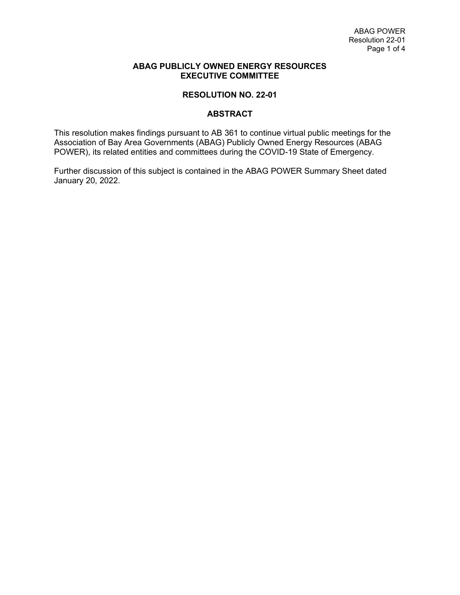### **ABAG PUBLICLY OWNED ENERGY RESOURCES EXECUTIVE COMMITTEE**

## **RESOLUTION NO. 22-01**

### **ABSTRACT**

This resolution makes findings pursuant to AB 361 to continue virtual public meetings for the Association of Bay Area Governments (ABAG) Publicly Owned Energy Resources (ABAG POWER), its related entities and committees during the COVID-19 State of Emergency.

Further discussion of this subject is contained in the ABAG POWER Summary Sheet dated January 20, 2022.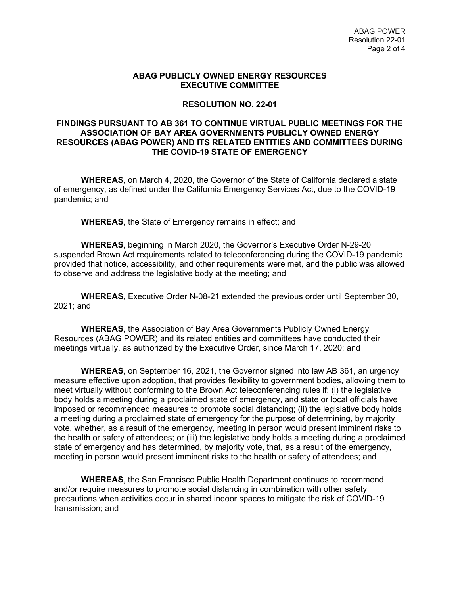#### **ABAG PUBLICLY OWNED ENERGY RESOURCES EXECUTIVE COMMITTEE**

### **RESOLUTION NO. 22-01**

### **FINDINGS PURSUANT TO AB 361 TO CONTINUE VIRTUAL PUBLIC MEETINGS FOR THE ASSOCIATION OF BAY AREA GOVERNMENTS PUBLICLY OWNED ENERGY RESOURCES (ABAG POWER) AND ITS RELATED ENTITIES AND COMMITTEES DURING THE COVID-19 STATE OF EMERGENCY**

**WHEREAS**, on March 4, 2020, the Governor of the State of California declared a state of emergency, as defined under the California Emergency Services Act, due to the COVID-19 pandemic; and

**WHEREAS**, the State of Emergency remains in effect; and

**WHEREAS**, beginning in March 2020, the Governor's Executive Order N-29-20 suspended Brown Act requirements related to teleconferencing during the COVID-19 pandemic provided that notice, accessibility, and other requirements were met, and the public was allowed to observe and address the legislative body at the meeting; and

**WHEREAS**, Executive Order N-08-21 extended the previous order until September 30, 2021; and

**WHEREAS**, the Association of Bay Area Governments Publicly Owned Energy Resources (ABAG POWER) and its related entities and committees have conducted their meetings virtually, as authorized by the Executive Order, since March 17, 2020; and

**WHEREAS**, on September 16, 2021, the Governor signed into law AB 361, an urgency measure effective upon adoption, that provides flexibility to government bodies, allowing them to meet virtually without conforming to the Brown Act teleconferencing rules if: (i) the legislative body holds a meeting during a proclaimed state of emergency, and state or local officials have imposed or recommended measures to promote social distancing; (ii) the legislative body holds a meeting during a proclaimed state of emergency for the purpose of determining, by majority vote, whether, as a result of the emergency, meeting in person would present imminent risks to the health or safety of attendees; or (iii) the legislative body holds a meeting during a proclaimed state of emergency and has determined, by majority vote, that, as a result of the emergency, meeting in person would present imminent risks to the health or safety of attendees; and

**WHEREAS**, the San Francisco Public Health Department continues to recommend and/or require measures to promote social distancing in combination with other safety precautions when activities occur in shared indoor spaces to mitigate the risk of COVID-19 transmission; and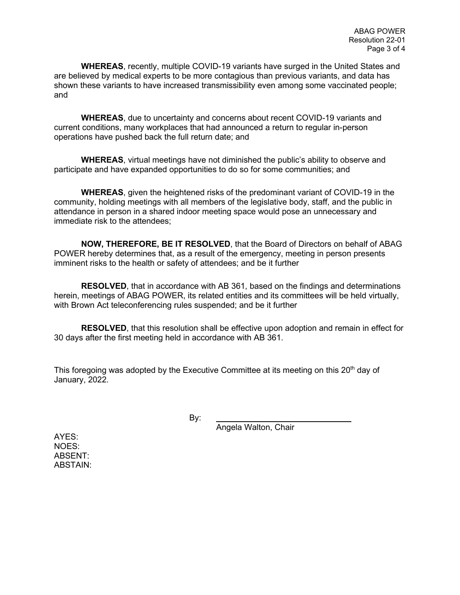**WHEREAS**, recently, multiple COVID-19 variants have surged in the United States and are believed by medical experts to be more contagious than previous variants, and data has shown these variants to have increased transmissibility even among some vaccinated people; and

**WHEREAS**, due to uncertainty and concerns about recent COVID-19 variants and current conditions, many workplaces that had announced a return to regular in-person operations have pushed back the full return date; and

**WHEREAS**, virtual meetings have not diminished the public's ability to observe and participate and have expanded opportunities to do so for some communities; and

**WHEREAS**, given the heightened risks of the predominant variant of COVID-19 in the community, holding meetings with all members of the legislative body, staff, and the public in attendance in person in a shared indoor meeting space would pose an unnecessary and immediate risk to the attendees;

**NOW, THEREFORE, BE IT RESOLVED**, that the Board of Directors on behalf of ABAG POWER hereby determines that, as a result of the emergency, meeting in person presents imminent risks to the health or safety of attendees; and be it further

**RESOLVED**, that in accordance with AB 361, based on the findings and determinations herein, meetings of ABAG POWER, its related entities and its committees will be held virtually, with Brown Act teleconferencing rules suspended; and be it further

**RESOLVED**, that this resolution shall be effective upon adoption and remain in effect for 30 days after the first meeting held in accordance with AB 361.

This foregoing was adopted by the Executive Committee at its meeting on this  $20<sup>th</sup>$  day of January, 2022.

By:

Angela Walton, Chair

AYES: NOES: ABSENT: ABSTAIN: